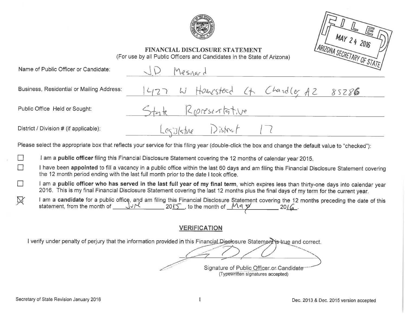



# FINANCIAL DISCLOSURE STATEMENT (For use by all Public Officers and Candidates in the State of Arizona)

|        | Name of Public Officer or Candidate:      | Mesnard                                                                                                                                                                                                                                                                         | $\sim$ $\sim$ $\sim$ $\sim$ $\sim$ $\sim$ $\sim$ |
|--------|-------------------------------------------|---------------------------------------------------------------------------------------------------------------------------------------------------------------------------------------------------------------------------------------------------------------------------------|--------------------------------------------------|
|        | Business, Residential or Mailing Address: | 1427 W Homesteed Ct Chardle, AZ 85286                                                                                                                                                                                                                                           |                                                  |
|        | Public Office Held or Sought:             | State Riprese-Tritive                                                                                                                                                                                                                                                           |                                                  |
|        | District / Division # (if applicable):    | Legislature District 17                                                                                                                                                                                                                                                         |                                                  |
|        |                                           | Please select the appropriate box that reflects your service for this filing year (double-click the box and change the default value to "checked"):                                                                                                                             |                                                  |
| $\Box$ |                                           | I am a public officer filing this Financial Disclosure Statement covering the 12 months of calendar year 2015.                                                                                                                                                                  |                                                  |
| $\Box$ |                                           | I have been appointed to fill a vacancy in a public office within the last 60 days and am filing this Financial Disclosure Statement covering<br>the 12 month period ending with the last full month prior to the date I took office.                                           |                                                  |
| $\Box$ |                                           | am a public officer who has served in the last full year of my final term, which expires less than thirty-one days into calendar year<br>2016. This is my final Financial Disclosure Statement covering the last 12 months plus the final days of my term for the current year. |                                                  |

I am a **candidate** for a public office, and am filing this Financial Disclosure Statement covering the 12 months preceding the date of this statement, from the month of  $\underline{\text{Var}}$  2015, to the month of  $\underline{\text{Var}}$  2016. 叉

# **VERIFICATION**

I verify under penalty of perjury that the information provided in this Financial Disclosure Statements true and correct.

Signature of Public Officer or Candidate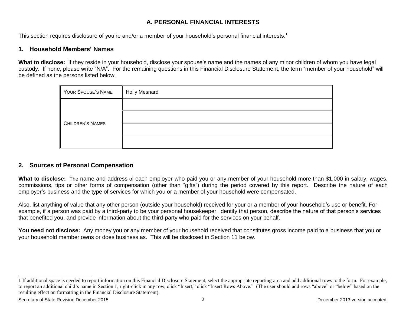# **A. PERSONAL FINANCIAL INTERESTS**

This section requires disclosure of you're and/or a member of your household's personal financial interests.<sup>1</sup>

### **1. Household Members' Names**

**What to disclose:** If they reside in your household, disclose your spouse's name and the names of any minor children of whom you have legal custody. If none, please write "N/A". For the remaining questions in this Financial Disclosure Statement, the term "member of your household" will be defined as the persons listed below.

| YOUR SPOUSE'S NAME | <b>Holly Mesnard</b> |
|--------------------|----------------------|
|                    |                      |
| CHILDREN'S NAMES   |                      |
|                    |                      |
|                    |                      |

# **2. Sources of Personal Compensation**

**What to disclose:** The name and address of each employer who paid you or any member of your household more than \$1,000 in salary, wages, commissions, tips or other forms of compensation (other than "gifts") during the period covered by this report. Describe the nature of each employer's business and the type of services for which you or a member of your household were compensated.

Also, list anything of value that any other person (outside your household) received for your or a member of your household's use or benefit. For example, if a person was paid by a third-party to be your personal housekeeper, identify that person, describe the nature of that person's services that benefited you, and provide information about the third-party who paid for the services on your behalf.

**You need not disclose:** Any money you or any member of your household received that constitutes gross income paid to a business that you or your household member owns or does business as. This will be disclosed in Section 11 below.

l

<sup>1</sup> If additional space is needed to report information on this Financial Disclosure Statement, select the appropriate reporting area and add additional rows to the form. For example, to report an additional child's name in Section 1, right-click in any row, click "Insert," click "Insert Rows Above." (The user should add rows "above" or "below" based on the resulting effect on formatting in the Financial Disclosure Statement).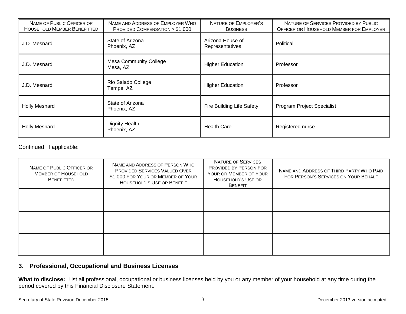| NAME OF PUBLIC OFFICER OR<br><b>HOUSEHOLD MEMBER BENEFITTED</b> | NAME AND ADDRESS OF EMPLOYER WHO<br>PROVIDED COMPENSATION > \$1,000 | NATURE OF EMPLOYER'S<br><b>BUSINESS</b> | NATURE OF SERVICES PROVIDED BY PUBLIC<br>OFFICER OR HOUSEHOLD MEMBER FOR EMPLOYER |
|-----------------------------------------------------------------|---------------------------------------------------------------------|-----------------------------------------|-----------------------------------------------------------------------------------|
| J.D. Mesnard                                                    | State of Arizona<br>Phoenix, AZ                                     | Arizona House of<br>Representatives     | Political                                                                         |
| J.D. Mesnard                                                    | <b>Mesa Community College</b><br>Mesa, AZ                           | <b>Higher Education</b>                 | Professor                                                                         |
| J.D. Mesnard                                                    | Rio Salado College<br>Tempe, AZ                                     | <b>Higher Education</b>                 | Professor                                                                         |
| <b>Holly Mesnard</b>                                            | State of Arizona<br>Phoenix, AZ                                     | Fire Building Life Safety               | <b>Program Project Specialist</b>                                                 |
| <b>Holly Mesnard</b>                                            | <b>Dignity Health</b><br>Phoenix, AZ                                | <b>Health Care</b>                      | Registered nurse                                                                  |

Continued, if applicable:

| NAME OF PUBLIC OFFICER OR<br><b>MEMBER OF HOUSEHOLD</b><br><b>BENEFITTED</b> | NAME AND ADDRESS OF PERSON WHO<br><b>PROVIDED SERVICES VALUED OVER</b><br>\$1,000 FOR YOUR OR MEMBER OF YOUR<br>HOUSEHOLD'S USE OR BENEFIT | <b>NATURE OF SERVICES</b><br>PROVIDED BY PERSON FOR<br>YOUR OR MEMBER OF YOUR<br>HOUSEHOLD'S USE OR<br><b>BENEFIT</b> | NAME AND ADDRESS OF THIRD PARTY WHO PAID<br>FOR PERSON'S SERVICES ON YOUR BEHALF |
|------------------------------------------------------------------------------|--------------------------------------------------------------------------------------------------------------------------------------------|-----------------------------------------------------------------------------------------------------------------------|----------------------------------------------------------------------------------|
|                                                                              |                                                                                                                                            |                                                                                                                       |                                                                                  |
|                                                                              |                                                                                                                                            |                                                                                                                       |                                                                                  |
|                                                                              |                                                                                                                                            |                                                                                                                       |                                                                                  |

### **3. Professional, Occupational and Business Licenses**

**What to disclose:** List all professional, occupational or business licenses held by you or any member of your household at any time during the period covered by this Financial Disclosure Statement.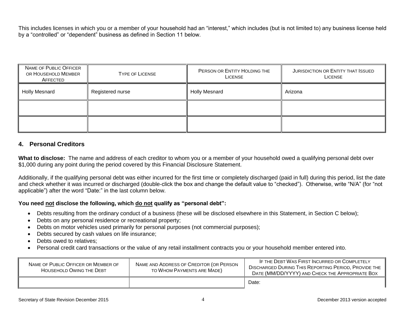This includes licenses in which you or a member of your household had an "interest," which includes (but is not limited to) any business license held by a "controlled" or "dependent" business as defined in Section 11 below.

| NAME OF PUBLIC OFFICER<br>OR HOUSEHOLD MEMBER<br>AFFECTED | <b>TYPE OF LICENSE</b> | PERSON OR ENTITY HOLDING THE<br><b>LICENSE</b> | JURISDICTION OR ENTITY THAT ISSUED<br><b>LICENSE</b> |
|-----------------------------------------------------------|------------------------|------------------------------------------------|------------------------------------------------------|
| <b>Holly Mesnard</b>                                      | Registered nurse       | <b>Holly Mesnard</b>                           | Arizona                                              |
|                                                           |                        |                                                |                                                      |
|                                                           |                        |                                                |                                                      |

# **4. Personal Creditors**

**What to disclose:** The name and address of each creditor to whom you or a member of your household owed a qualifying personal debt over \$1,000 during any point during the period covered by this Financial Disclosure Statement.

Additionally, if the qualifying personal debt was either incurred for the first time or completely discharged (paid in full) during this period, list the date and check whether it was incurred or discharged (double-click the box and change the default value to "checked"). Otherwise, write "N/A" (for "not applicable") after the word "Date:" in the last column below.

# **You need not disclose the following, which do not qualify as "personal debt":**

- Debts resulting from the ordinary conduct of a business (these will be disclosed elsewhere in this Statement, in Section C below);
- Debts on any personal residence or recreational property;
- Debts on motor vehicles used primarily for personal purposes (not commercial purposes);
- Debts secured by cash values on life insurance;
- Debts owed to relatives;
- Personal credit card transactions or the value of any retail installment contracts you or your household member entered into.

| NAME OF PUBLIC OFFICER OR MEMBER OF<br>HOUSEHOLD OWING THE DEBT | NAME AND ADDRESS OF CREDITOR (OR PERSON<br>TO WHOM PAYMENTS ARE MADE) | IF THE DEBT WAS FIRST INCURRED OR COMPLETELY<br><b>DISCHARGED DURING THIS REPORTING PERIOD, PROVIDE THE</b><br>DATE (MM/DD/YYYY) AND CHECK THE APPROPRIATE BOX |
|-----------------------------------------------------------------|-----------------------------------------------------------------------|----------------------------------------------------------------------------------------------------------------------------------------------------------------|
|                                                                 |                                                                       | Date:                                                                                                                                                          |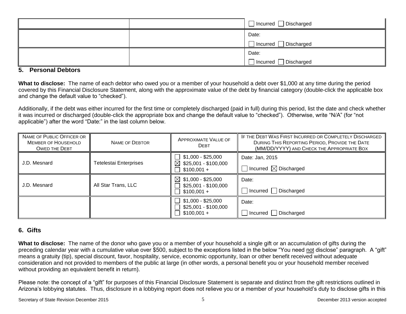|  | ┑<br>Incurred □ Discharged |
|--|----------------------------|
|  | Date:                      |
|  | Discharged<br>Incurred     |
|  | Date:                      |
|  | Incurred □ Discharged      |

#### **5. Personal Debtors**

**What to disclose:** The name of each debtor who owed you or a member of your household a debt over \$1,000 at any time during the period covered by this Financial Disclosure Statement, along with the approximate value of the debt by financial category (double-click the applicable box and change the default value to "checked").

Additionally, if the debt was either incurred for the first time or completely discharged (paid in full) during this period, list the date and check whether it was incurred or discharged (double-click the appropriate box and change the default value to "checked"). Otherwise, write "N/A" (for "not applicable") after the word "Date:" in the last column below.

| NAME OF PUBLIC OFFICER OR<br><b>MEMBER OF HOUSEHOLD</b><br><b>OWED THE DEBT</b> | NAME OF DEBTOR                | <b>APPROXIMATE VALUE OF</b><br><b>DEBT</b>                             | IF THE DEBT WAS FIRST INCURRED OR COMPLETELY DISCHARGED<br>DURING THIS REPORTING PERIOD, PROVIDE THE DATE<br>(MM/DD/YYYY) AND CHECK THE APPROPRIATE BOX |
|---------------------------------------------------------------------------------|-------------------------------|------------------------------------------------------------------------|---------------------------------------------------------------------------------------------------------------------------------------------------------|
| J.D. Mesnard                                                                    | <b>Tetelestai Enterprises</b> | \$1,000 - \$25,000<br>$\boxtimes$ \$25,001 - \$100,000<br>$$100,001 +$ | Date: Jan, 2015<br>Incurred $\boxtimes$ Discharged                                                                                                      |
| J.D. Mesnard                                                                    | All Star Trans, LLC           | $\boxtimes$ \$1,000 - \$25,000<br>\$25,001 - \$100,000<br>$$100,001 +$ | Date:<br>Incurred   Discharged                                                                                                                          |
|                                                                                 |                               | $$1,000 - $25,000$<br>\$25,001 - \$100,000<br>$$100,001 +$             | Date:<br>Incurred Discharged                                                                                                                            |

# **6. Gifts**

**What to disclose:** The name of the donor who gave you or a member of your household a single gift or an accumulation of gifts during the preceding calendar year with a cumulative value over \$500, subject to the exceptions listed in the below "You need not disclose" paragraph. A "gift" means a gratuity (tip), special discount, favor, hospitality, service, economic opportunity, loan or other benefit received without adequate consideration and not provided to members of the public at large (in other words, a personal benefit you or your household member received without providing an equivalent benefit in return).

Please note: the concept of a "gift" for purposes of this Financial Disclosure Statement is separate and distinct from the gift restrictions outlined in Arizona's lobbying statutes. Thus, disclosure in a lobbying report does not relieve you or a member of your household's duty to disclose gifts in this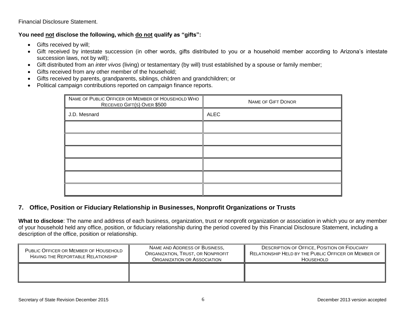#### Financial Disclosure Statement.

# **You need not disclose the following, which do not qualify as "gifts":**

- Gifts received by will;
- Gift received by intestate succession (in other words, gifts distributed to you or a household member according to Arizona's intestate succession laws, not by will);
- Gift distributed from an *inter vivos* (living) or testamentary (by will) trust established by a spouse or family member;
- Gifts received from any other member of the household;
- Gifts received by parents, grandparents, siblings, children and grandchildren; or
- Political campaign contributions reported on campaign finance reports.

| NAME OF PUBLIC OFFICER OR MEMBER OF HOUSEHOLD WHO<br>RECEIVED GIFT(S) OVER \$500 | <b>NAME OF GIFT DONOR</b> |  |
|----------------------------------------------------------------------------------|---------------------------|--|
| J.D. Mesnard                                                                     | <b>ALEC</b>               |  |
|                                                                                  |                           |  |
|                                                                                  |                           |  |
|                                                                                  |                           |  |
|                                                                                  |                           |  |
|                                                                                  |                           |  |
|                                                                                  |                           |  |

# **7. Office, Position or Fiduciary Relationship in Businesses, Nonprofit Organizations or Trusts**

**What to disclose**: The name and address of each business, organization, trust or nonprofit organization or association in which you or any member of your household held any office, position, or fiduciary relationship during the period covered by this Financial Disclosure Statement, including a description of the office, position or relationship.

| PUBLIC OFFICER OR MEMBER OF HOUSEHOLD<br>HAVING THE REPORTABLE RELATIONSHIP | NAME AND ADDRESS OF BUSINESS,<br>ORGANIZATION, TRUST, OR NONPROFIT<br><b>ORGANIZATION OR ASSOCIATION</b> | <b>DESCRIPTION OF OFFICE, POSITION OR FIDUCIARY</b><br>RELATIONSHIP HELD BY THE PUBLIC OFFICER OR MEMBER OF<br><b>HOUSEHOLD</b> |  |
|-----------------------------------------------------------------------------|----------------------------------------------------------------------------------------------------------|---------------------------------------------------------------------------------------------------------------------------------|--|
|                                                                             |                                                                                                          |                                                                                                                                 |  |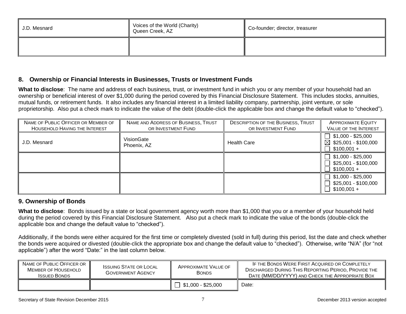| J.D. Mesnard | Voices of the World (Charity)<br>Queen Creek, AZ | Co-founder; director, treasurer |
|--------------|--------------------------------------------------|---------------------------------|
|              |                                                  |                                 |

### **8. Ownership or Financial Interests in Businesses, Trusts or Investment Funds**

**What to disclose**: The name and address of each business, trust, or investment fund in which you or any member of your household had an ownership or beneficial interest of over \$1,000 during the period covered by this Financial Disclosure Statement. This includes stocks, annuities, mutual funds, or retirement funds. It also includes any financial interest in a limited liability company, partnership, joint venture, or sole proprietorship. Also put a check mark to indicate the value of the debt (double-click the applicable box and change the default value to "checked").

| NAME OF PUBLIC OFFICER OR MEMBER OF<br>HOUSEHOLD HAVING THE INTEREST | NAME AND ADDRESS OF BUSINESS, TRUST<br>OR INVESTMENT FUND | <b>DESCRIPTION OF THE BUSINESS, TRUST</b><br>OR INVESTMENT FUND | <b>APPROXIMATE EQUITY</b><br><b>VALUE OF THE INTEREST</b>       |
|----------------------------------------------------------------------|-----------------------------------------------------------|-----------------------------------------------------------------|-----------------------------------------------------------------|
| J.D. Mesnard                                                         | VisionGate<br>Phoenix, AZ                                 | <b>Health Care</b>                                              | $$1,000 - $25,000$<br>⊠<br>\$25,001 - \$100,000<br>$$100,001 +$ |
|                                                                      |                                                           |                                                                 | $$1,000 - $25,000$<br>\$25,001 - \$100,000<br>$$100,001 +$      |
|                                                                      |                                                           |                                                                 | $$1,000 - $25,000$<br>\$25,001 - \$100,000<br>$$100,001 +$      |

# **9. Ownership of Bonds**

**What to disclose**: Bonds issued by a state or local government agency worth more than \$1,000 that you or a member of your household held during the period covered by this Financial Disclosure Statement. Also put a check mark to indicate the value of the bonds (double-click the applicable box and change the default value to "checked").

Additionally, if the bonds were either acquired for the first time or completely divested (sold in full) during this period, list the date and check whether the bonds were acquired or divested (double-click the appropriate box and change the default value to "checked"). Otherwise, write "N/A" (for "not applicable") after the word "Date:" in the last column below.

| NAME OF PUBLIC OFFICER OR<br>MEMBER OF HOUSEHOLD<br><b>ISSUED BONDS</b> | <b>ISSUING STATE OR LOCAL</b><br><b>GOVERNMENT AGENCY</b> | APPROXIMATE VALUE OF<br><b>BONDS</b> | IF THE BONDS WERE FIRST ACQUIRED OR COMPLETELY<br><b>DISCHARGED DURING THIS REPORTING PERIOD, PROVIDE THE</b><br>DATE (MM/DD/YYYY) AND CHECK THE APPROPRIATE BOX |
|-------------------------------------------------------------------------|-----------------------------------------------------------|--------------------------------------|------------------------------------------------------------------------------------------------------------------------------------------------------------------|
|                                                                         |                                                           | $\Box$ \$1,000 - \$25,000            | Date:                                                                                                                                                            |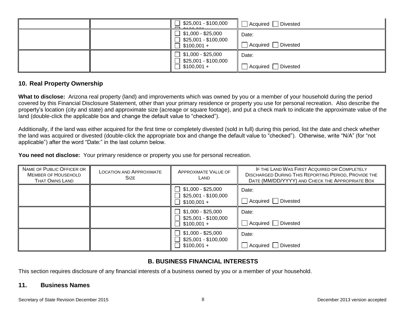| $\Box$ \$25,001 - \$100,000                                                        | Divested<br>Acquired          |
|------------------------------------------------------------------------------------|-------------------------------|
| $\Box$ \$1,000 - \$25,000<br>$\Box$ \$25,001 - \$100,000<br>$\sqrt{ }$ \$100,001 + | Date:<br>Divested<br>Acquired |
| $\Box$ \$1,000 - \$25,000<br>$\Box$ \$25,001 - \$100,000<br>$\Box$ \$100,001 +     | Date:<br>Divested<br>Acquired |

### **10. Real Property Ownership**

**What to disclose:** Arizona real property (land) and improvements which was owned by you or a member of your household during the period covered by this Financial Disclosure Statement, other than your primary residence or property you use for personal recreation. Also describe the property's location (city and state) and approximate size (acreage or square footage), and put a check mark to indicate the approximate value of the land (double-click the applicable box and change the default value to "checked").

Additionally, if the land was either acquired for the first time or completely divested (sold in full) during this period, list the date and check whether the land was acquired or divested (double-click the appropriate box and change the default value to "checked"). Otherwise, write "N/A" (for "not applicable") after the word "Date:" in the last column below.

**You need not disclose:** Your primary residence or property you use for personal recreation.

| NAME OF PUBLIC OFFICER OR<br><b>MEMBER OF HOUSEHOLD</b><br><b>THAT OWNS LAND</b> | <b>LOCATION AND APPROXIMATE</b><br><b>SIZE</b> | <b>APPROXIMATE VALUE OF</b><br>LAND                        | IF THE LAND WAS FIRST ACQUIRED OR COMPLETELY<br><b>DISCHARGED DURING THIS REPORTING PERIOD, PROVIDE THE</b><br>DATE (MM/DD/YYYY) AND CHECK THE APPROPRIATE BOX |
|----------------------------------------------------------------------------------|------------------------------------------------|------------------------------------------------------------|----------------------------------------------------------------------------------------------------------------------------------------------------------------|
|                                                                                  |                                                | $$1,000 - $25,000$<br>\$25,001 - \$100,000<br>$$100,001 +$ | Date:<br>Acquired  <br>Divested                                                                                                                                |
|                                                                                  |                                                | $$1,000 - $25,000$<br>\$25,001 - \$100,000<br>$$100,001 +$ | Date:<br>Acquired Divested                                                                                                                                     |
|                                                                                  |                                                | $$1,000 - $25,000$<br>\$25,001 - \$100,000<br>$$100,001 +$ | Date:<br>Acquired Divested                                                                                                                                     |

# **B. BUSINESS FINANCIAL INTERESTS**

This section requires disclosure of any financial interests of a business owned by you or a member of your household.

#### **11. Business Names**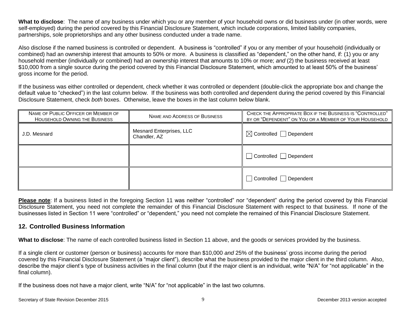**What to disclose**: The name of any business under which you or any member of your household owns or did business under (in other words, were self-employed) during the period covered by this Financial Disclosure Statement, which include corporations, limited liability companies, partnerships, sole proprietorships and any other business conducted under a trade name.

Also disclose if the named business is controlled or dependent. A business is "controlled" if you or any member of your household (individually or combined) had an ownership interest that amounts to 50% or more. A business is classified as "dependent," on the other hand, if: (1) you or any household member (individually or combined) had an ownership interest that amounts to 10% or more; *and* (2) the business received at least \$10,000 from a single source during the period covered by this Financial Disclosure Statement, which amounted to at least 50% of the business' gross income for the period.

If the business was either controlled or dependent, check whether it was controlled or dependent (double-click the appropriate box and change the default value to "checked") in the last column below. If the business was both controlled *and* dependent during the period covered by this Financial Disclosure Statement, check *both* boxes. Otherwise, leave the boxes in the last column below blank.

| NAME OF PUBLIC OFFICER OR MEMBER OF<br>HOUSEHOLD OWNING THE BUSINESS | NAME AND ADDRESS OF BUSINESS             | CHECK THE APPROPRIATE BOX IF THE BUSINESS IS "CONTROLLED"<br>BY OR "DEPENDENT" ON YOU OR A MEMBER OF YOUR HOUSEHOLD |
|----------------------------------------------------------------------|------------------------------------------|---------------------------------------------------------------------------------------------------------------------|
| J.D. Mesnard                                                         | Mesnard Enterprises, LLC<br>Chandler, AZ | $\boxtimes$ Controlled $\Box$ Dependent                                                                             |
|                                                                      |                                          | $\Box$ Controlled $\Box$ Dependent                                                                                  |
|                                                                      |                                          | Controlled Dependent                                                                                                |

**Please note**: If a business listed in the foregoing Section 11 was neither "controlled" nor "dependent" during the period covered by this Financial Disclosure Statement, you need not complete the remainder of this Financial Disclosure Statement with respect to that business. If none of the businesses listed in Section 11 were "controlled" or "dependent," you need not complete the remained of this Financial Disclosure Statement.

# **12. Controlled Business Information**

**What to disclose**: The name of each controlled business listed in Section 11 above, and the goods or services provided by the business.

If a single client or customer (person or business) accounts for more than \$10,000 *and* 25% of the business' gross income during the period covered by this Financial Disclosure Statement (a "major client"), describe what the business provided to the major client in the third column. Also, describe the major client's type of business activities in the final column (but if the major client is an individual, write "N/A" for "not applicable" in the final column).

If the business does not have a major client, write "N/A" for "not applicable" in the last two columns.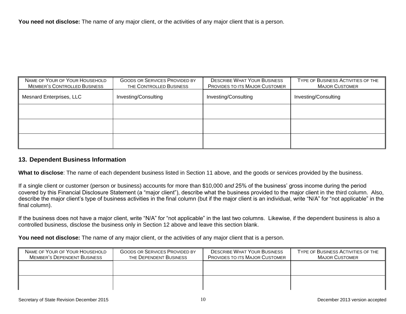You need not disclose: The name of any major client, or the activities of any major client that is a person.

| NAME OF YOUR OF YOUR HOUSEHOLD<br><b>GOODS OR SERVICES PROVIDED BY</b><br><b>MEMBER'S CONTROLLED BUSINESS</b><br>THE CONTROLLED BUSINESS |  | <b>DESCRIBE WHAT YOUR BUSINESS</b><br><b>PROVIDES TO ITS MAJOR CUSTOMER</b> | TYPE OF BUSINESS ACTIVITIES OF THE<br><b>MAJOR CUSTOMER</b> |
|------------------------------------------------------------------------------------------------------------------------------------------|--|-----------------------------------------------------------------------------|-------------------------------------------------------------|
| Investing/Consulting<br>Mesnard Enterprises, LLC                                                                                         |  | Investing/Consulting                                                        | Investing/Consulting                                        |
|                                                                                                                                          |  |                                                                             |                                                             |
|                                                                                                                                          |  |                                                                             |                                                             |
|                                                                                                                                          |  |                                                                             |                                                             |

#### **13. Dependent Business Information**

**What to disclose**: The name of each dependent business listed in Section 11 above, and the goods or services provided by the business.

If a single client or customer (person or business) accounts for more than \$10,000 *and* 25% of the business' gross income during the period covered by this Financial Disclosure Statement (a "major client"), describe what the business provided to the major client in the third column. Also, describe the major client's type of business activities in the final column (but if the major client is an individual, write "N/A" for "not applicable" in the final column).

If the business does not have a major client, write "N/A" for "not applicable" in the last two columns. Likewise, if the dependent business is also a controlled business, disclose the business only in Section 12 above and leave this section blank.

You need not disclose: The name of any major client, or the activities of any major client that is a person.

| NAME OF YOUR OF YOUR HOUSEHOLD<br>MEMBER'S DEPENDENT BUSINESS | <b>GOODS OR SERVICES PROVIDED BY</b><br>THE DEPENDENT BUSINESS | <b>DESCRIBE WHAT YOUR BUSINESS</b><br><b>PROVIDES TO ITS MAJOR CUSTOMER</b> | TYPE OF BUSINESS ACTIVITIES OF THE<br><b>MAJOR CUSTOMER</b> |
|---------------------------------------------------------------|----------------------------------------------------------------|-----------------------------------------------------------------------------|-------------------------------------------------------------|
|                                                               |                                                                |                                                                             |                                                             |
|                                                               |                                                                |                                                                             |                                                             |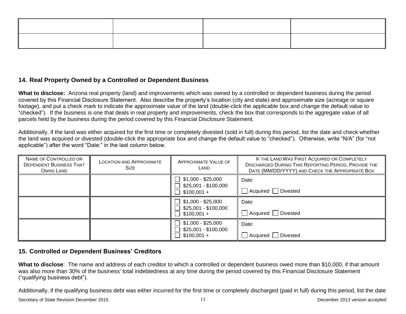# **14. Real Property Owned by a Controlled or Dependent Business**

**What to disclose:** Arizona real property (land) and improvements which was owned by a controlled or dependent business during the period covered by this Financial Disclosure Statement. Also describe the property's location (city and state) and approximate size (acreage or square footage), and put a check mark to indicate the approximate value of the land (double-click the applicable box and change the default value to "checked"). If the business is one that deals in real property and improvements, check the box that corresponds to the aggregate value of all parcels held by the business during the period covered by this Financial Disclosure Statement.

Additionally, if the land was either acquired for the first time or completely divested (sold in full) during this period, list the date and check whether the land was acquired or divested (double-click the appropriate box and change the default value to "checked"). Otherwise, write "N/A" (for "not applicable") after the word "Date:" in the last column below.

| NAME OF CONTROLLED OR<br><b>DEPENDENT BUSINESS THAT</b><br>OWNS LAND | <b>LOCATION AND APPROXIMATE</b><br><b>SIZE</b> | <b>APPROXIMATE VALUE OF</b><br>LAND                                                       | IF THE LAND WAS FIRST ACQUIRED OR COMPLETELY<br><b>DISCHARGED DURING THIS REPORTING PERIOD, PROVIDE THE</b><br>DATE (MM/DD/YYYY) AND CHECK THE APPROPRIATE BOX |
|----------------------------------------------------------------------|------------------------------------------------|-------------------------------------------------------------------------------------------|----------------------------------------------------------------------------------------------------------------------------------------------------------------|
|                                                                      |                                                | $\Box$ \$1,000 - \$25,000<br>\$25,001 - \$100,000<br>$\mathbb{R}^n$<br>$\Box$ \$100,001 + | Date:<br>Acquired   Divested                                                                                                                                   |
|                                                                      |                                                | $\Box$ \$1,000 - \$25,000<br>\$25,001 - \$100,000<br>$\perp$<br>П<br>$$100,001 +$         | Date:<br>Acquired   Divested                                                                                                                                   |
|                                                                      |                                                | $\Box$ \$1,000 - \$25,000<br>\$25,001 - \$100,000<br>$\Box$ \$100,001 +                   | Date:<br>Acquired   Divested                                                                                                                                   |

# **15. Controlled or Dependent Business' Creditors**

**What to disclose**: The name and address of each creditor to which a controlled or dependent business owed more than \$10,000, if that amount was also more than 30% of the business' total indebtedness at any time during the period covered by this Financial Disclosure Statement ("qualifying business debt").

Additionally, if the qualifying business debt was either incurred for the first time or completely discharged (paid in full) during this period, list the date

Secretary of State Revision December 2015 11 Secretary of State Revision 2013 version accepted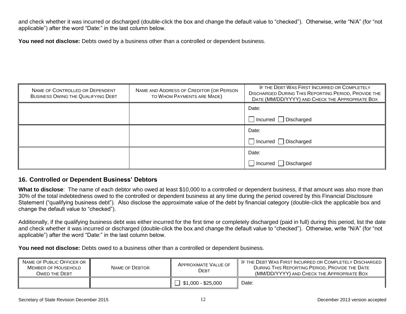and check whether it was incurred or discharged (double-click the box and change the default value to "checked"). Otherwise, write "N/A" (for "not applicable") after the word "Date:" in the last column below.

You need not disclose: Debts owed by a business other than a controlled or dependent business.

| NAME OF CONTROLLED OR DEPENDENT<br><b>BUSINESS OWING THE QUALIFYING DEBT</b> | NAME AND ADDRESS OF CREDITOR (OR PERSON<br>TO WHOM PAYMENTS ARE MADE) | IF THE DEBT WAS FIRST INCURRED OR COMPLETELY<br><b>DISCHARGED DURING THIS REPORTING PERIOD, PROVIDE THE</b><br>DATE (MM/DD/YYYY) AND CHECK THE APPROPRIATE BOX |
|------------------------------------------------------------------------------|-----------------------------------------------------------------------|----------------------------------------------------------------------------------------------------------------------------------------------------------------|
|                                                                              |                                                                       | Date:                                                                                                                                                          |
|                                                                              |                                                                       | Incurred Discharged                                                                                                                                            |
|                                                                              |                                                                       | Date:                                                                                                                                                          |
|                                                                              |                                                                       | □ Incurred □ Discharged                                                                                                                                        |
|                                                                              |                                                                       | Date:                                                                                                                                                          |
|                                                                              |                                                                       | □ Incurred □ Discharged                                                                                                                                        |

# **16. Controlled or Dependent Business' Debtors**

**What to disclose**: The name of each debtor who owed at least \$10,000 to a controlled or dependent business, if that amount was also more than 30% of the total indebtedness owed to the controlled or dependent business at any time during the period covered by this Financial Disclosure Statement ("qualifying business debt"). Also disclose the approximate value of the debt by financial category (double-click the applicable box and change the default value to "checked").

Additionally, if the qualifying business debt was either incurred for the first time or completely discharged (paid in full) during this period, list the date and check whether it was incurred or discharged (double-click the box and change the default value to "checked"). Otherwise, write "N/A" (for "not applicable") after the word "Date:" in the last column below.

**You need not disclose:** Debts owed to a business other than a controlled or dependent business.

| NAME OF PUBLIC OFFICER OR<br>MEMBER OF HOUSEHOLD<br><b>OWED THE DEBT</b> | NAME OF DEBTOR | APPROXIMATE VALUE OF<br>Dевт | IF THE DEBT WAS FIRST INCURRED OR COMPLETELY DISCHARGED<br>DURING THIS REPORTING PERIOD, PROVIDE THE DATE<br>(MM/DD/YYYY) AND CHECK THE APPROPRIATE BOX |
|--------------------------------------------------------------------------|----------------|------------------------------|---------------------------------------------------------------------------------------------------------------------------------------------------------|
|                                                                          |                | $\Box$ \$1,000 - \$25,000    | Date:                                                                                                                                                   |